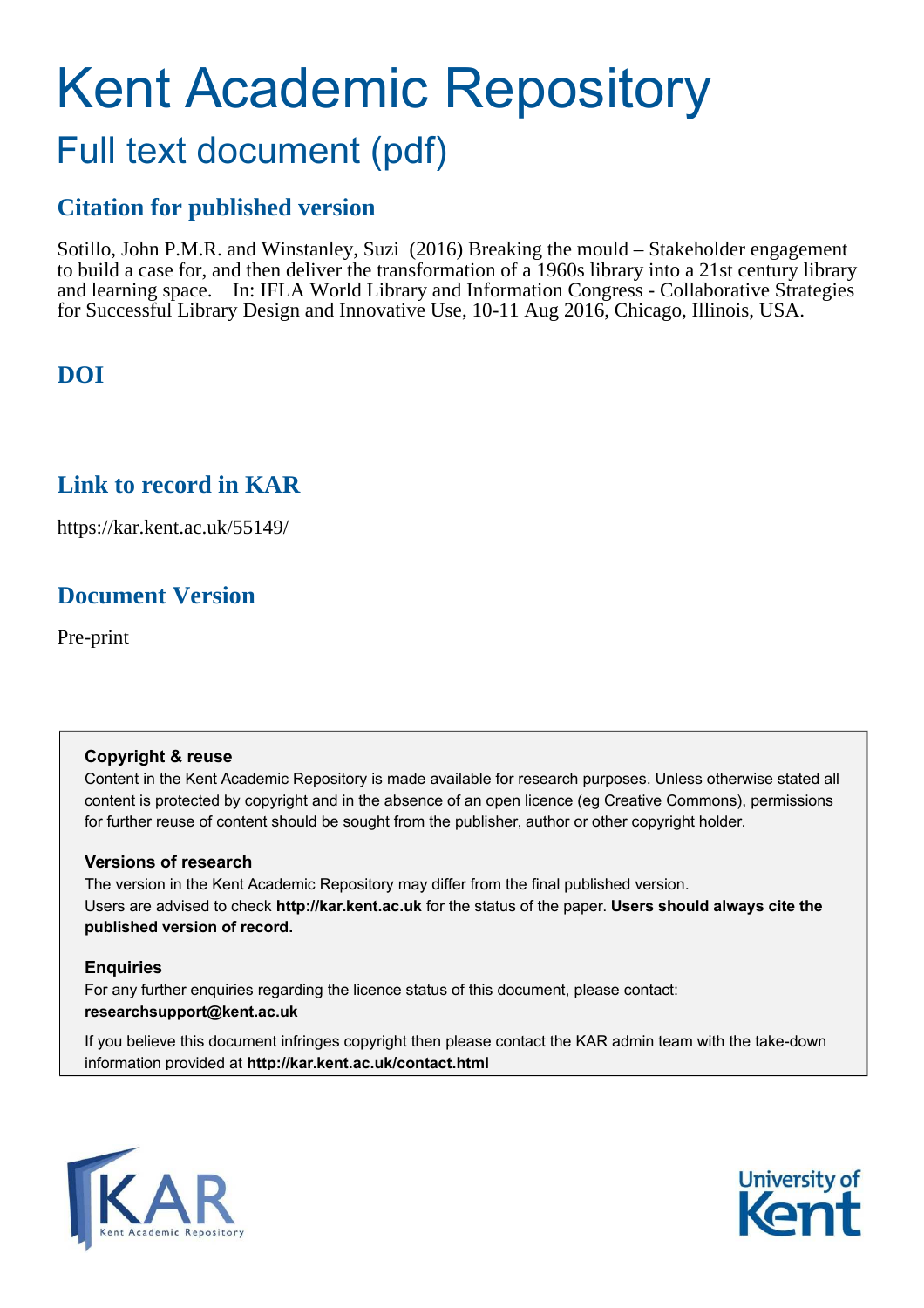# Kent Academic Repository Full text document (pdf)

# **Citation for published version**

Sotillo, John P.M.R. and Winstanley, Suzi (2016) Breaking the mould – Stakeholder engagement to build a case for, and then deliver the transformation of a 1960s library into a 21st century library and learning space. In: IFLA World Library and Information Congress - Collaborative Strategies for Successful Library Design and Innovative Use, 10-11 Aug 2016, Chicago, Illinois, USA.

# **DOI**

# **Link to record in KAR**

https://kar.kent.ac.uk/55149/

# **Document Version**

Pre-print

#### **Copyright & reuse**

Content in the Kent Academic Repository is made available for research purposes. Unless otherwise stated all content is protected by copyright and in the absence of an open licence (eg Creative Commons), permissions for further reuse of content should be sought from the publisher, author or other copyright holder.

#### **Versions of research**

The version in the Kent Academic Repository may differ from the final published version. Users are advised to check **http://kar.kent.ac.uk** for the status of the paper. **Users should always cite the published version of record.**

#### **Enquiries**

For any further enquiries regarding the licence status of this document, please contact: **researchsupport@kent.ac.uk**

If you believe this document infringes copyright then please contact the KAR admin team with the take-down information provided at **http://kar.kent.ac.uk/contact.html**



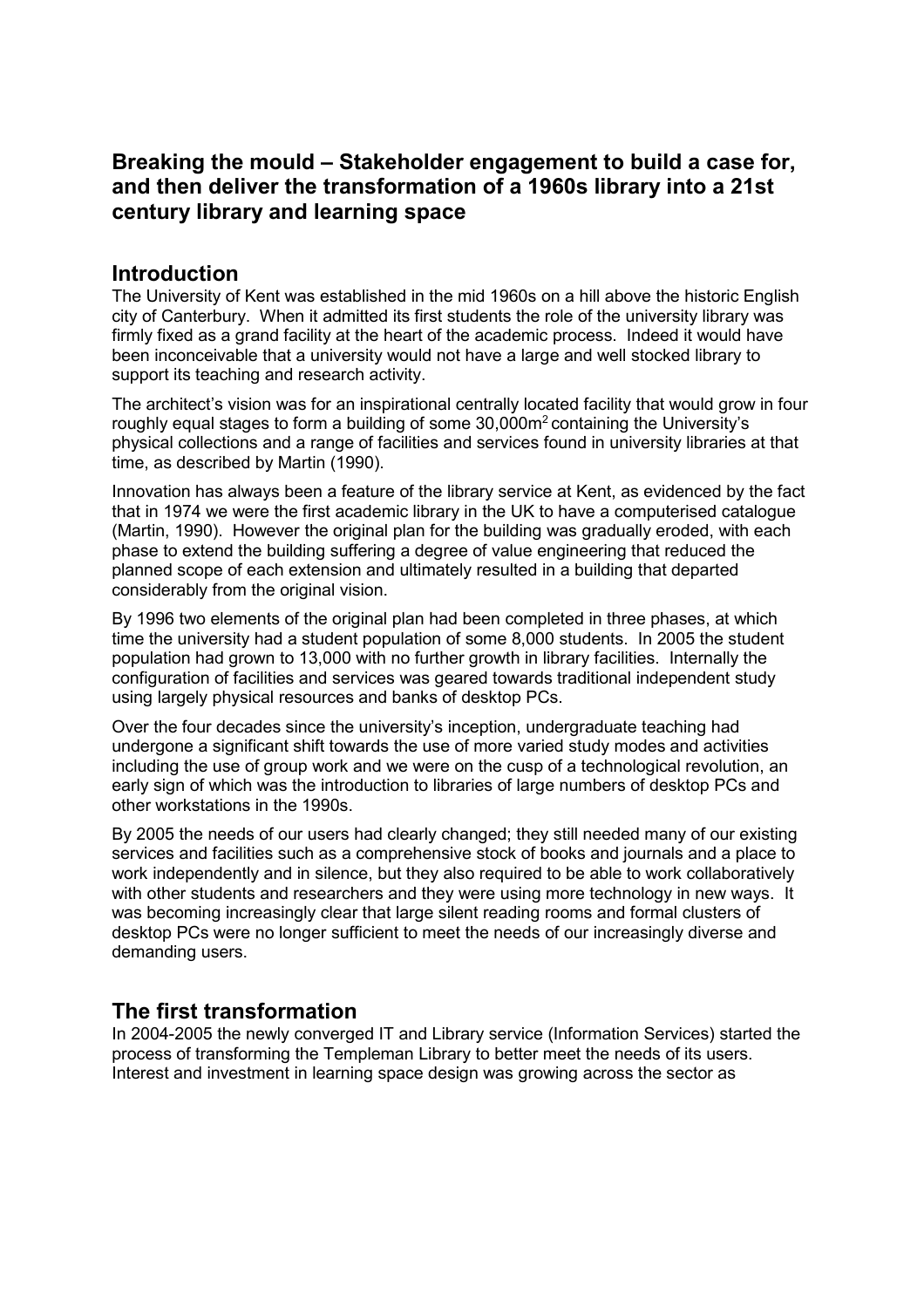# **Breaking the mould – Stakeholder engagement to build a case for, and then deliver the transformation of a 1960s library into a 21st century library and learning space**

### **Introduction**

The University of Kent was established in the mid 1960s on a hill above the historic English city of Canterbury. When it admitted its first students the role of the university library was firmly fixed as a grand facility at the heart of the academic process. Indeed it would have been inconceivable that a university would not have a large and well stocked library to support its teaching and research activity.

The architect's vision was for an inspirational centrally located facility that would grow in four roughly equal stages to form a building of some 30,000m<sup>2</sup> containing the University's physical collections and a range of facilities and services found in university libraries at that time, as described by Martin (1990).

Innovation has always been a feature of the library service at Kent, as evidenced by the fact that in 1974 we were the first academic library in the UK to have a computerised catalogue (Martin, 1990). However the original plan for the building was gradually eroded, with each phase to extend the building suffering a degree of value engineering that reduced the planned scope of each extension and ultimately resulted in a building that departed considerably from the original vision.

By 1996 two elements of the original plan had been completed in three phases, at which time the university had a student population of some 8,000 students. In 2005 the student population had grown to 13,000 with no further growth in library facilities. Internally the configuration of facilities and services was geared towards traditional independent study using largely physical resources and banks of desktop PCs.

Over the four decades since the university's inception, undergraduate teaching had undergone a significant shift towards the use of more varied study modes and activities including the use of group work and we were on the cusp of a technological revolution, an early sign of which was the introduction to libraries of large numbers of desktop PCs and other workstations in the 1990s.

By 2005 the needs of our users had clearly changed; they still needed many of our existing services and facilities such as a comprehensive stock of books and journals and a place to work independently and in silence, but they also required to be able to work collaboratively with other students and researchers and they were using more technology in new ways. It was becoming increasingly clear that large silent reading rooms and formal clusters of desktop PCs were no longer sufficient to meet the needs of our increasingly diverse and demanding users.

## **The first transformation**

In 2004-2005 the newly converged IT and Library service (Information Services) started the process of transforming the Templeman Library to better meet the needs of its users. Interest and investment in learning space design was growing across the sector as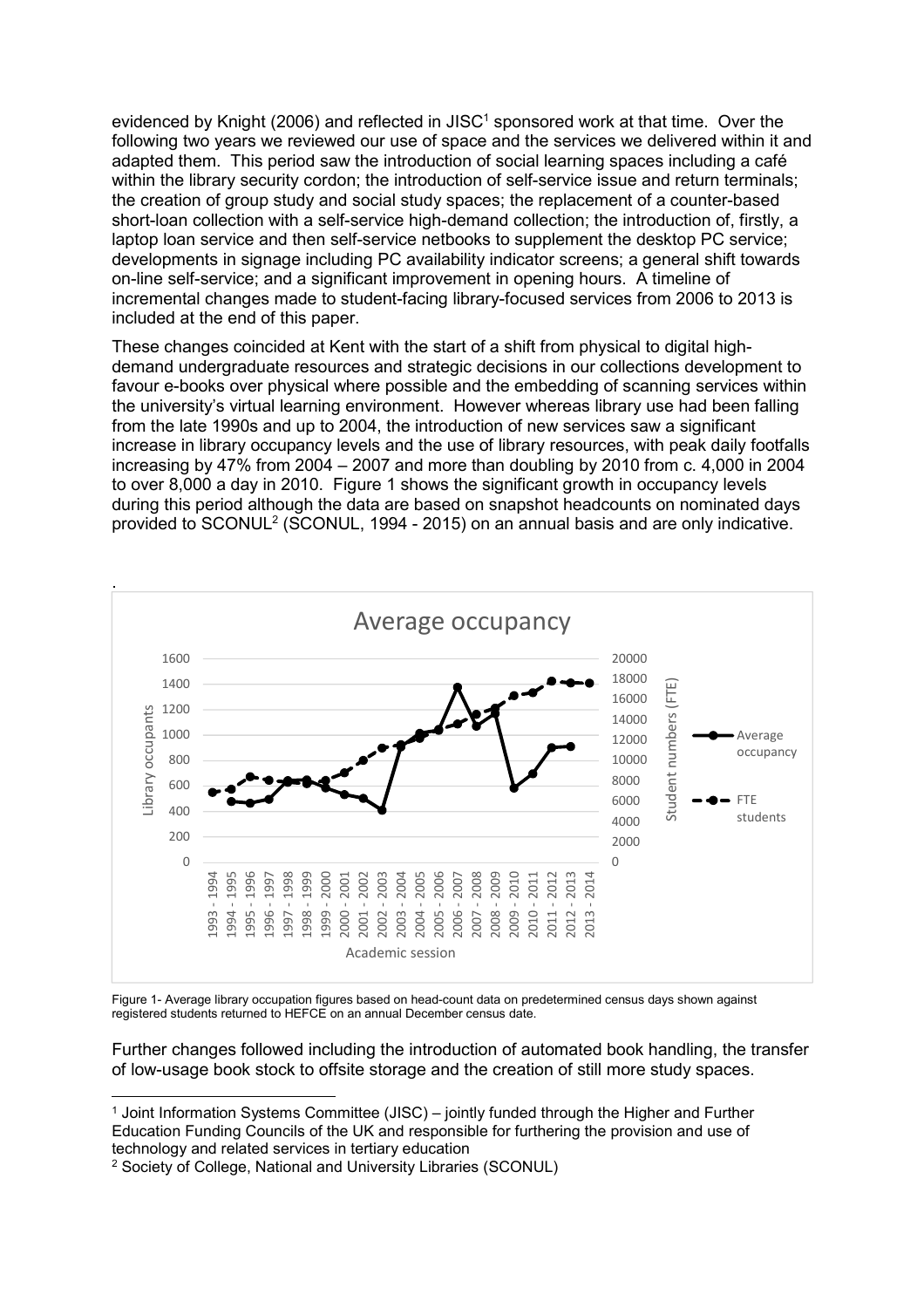evidenced by Knight (2006) and reflected in JISC<sup>1</sup> sponsored work at that time. Over the following two years we reviewed our use of space and the services we delivered within it and adapted them. This period saw the introduction of social learning spaces including a café within the library security cordon; the introduction of self-service issue and return terminals; the creation of group study and social study spaces; the replacement of a counter-based short-loan collection with a self-service high-demand collection; the introduction of, firstly, a laptop loan service and then self-service netbooks to supplement the desktop PC service; developments in signage including PC availability indicator screens; a general shift towards on-line self-service; and a significant improvement in opening hours. A timeline of incremental changes made to student-facing library-focused services from 2006 to 2013 is included at the end of this paper.

These changes coincided at Kent with the start of a shift from physical to digital highdemand undergraduate resources and strategic decisions in our collections development to favour e-books over physical where possible and the embedding of scanning services within the university's virtual learning environment. However whereas library use had been falling from the late 1990s and up to 2004, the introduction of new services saw a significant increase in library occupancy levels and the use of library resources, with peak daily footfalls increasing by 47% from 2004 – 2007 and more than doubling by 2010 from c. 4,000 in 2004 to over 8,000 a day in 2010. Figure 1 shows the significant growth in occupancy levels during this period although the data are based on snapshot headcounts on nominated days provided to SCONUL<sup>2</sup> (SCONUL, 1994 - 2015) on an annual basis and are only indicative.



Figure 1- Average library occupation figures based on head-count data on predetermined census days shown against registered students returned to HEFCE on an annual December census date.

Further changes followed including the introduction of automated book handling, the transfer of low-usage book stock to offsite storage and the creation of still more study spaces.

 $\overline{a}$ 1 Joint Information Systems Committee (JISC) – jointly funded through the Higher and Further Education Funding Councils of the UK and responsible for furthering the provision and use of technology and related services in tertiary education

<sup>2</sup> Society of College, National and University Libraries (SCONUL)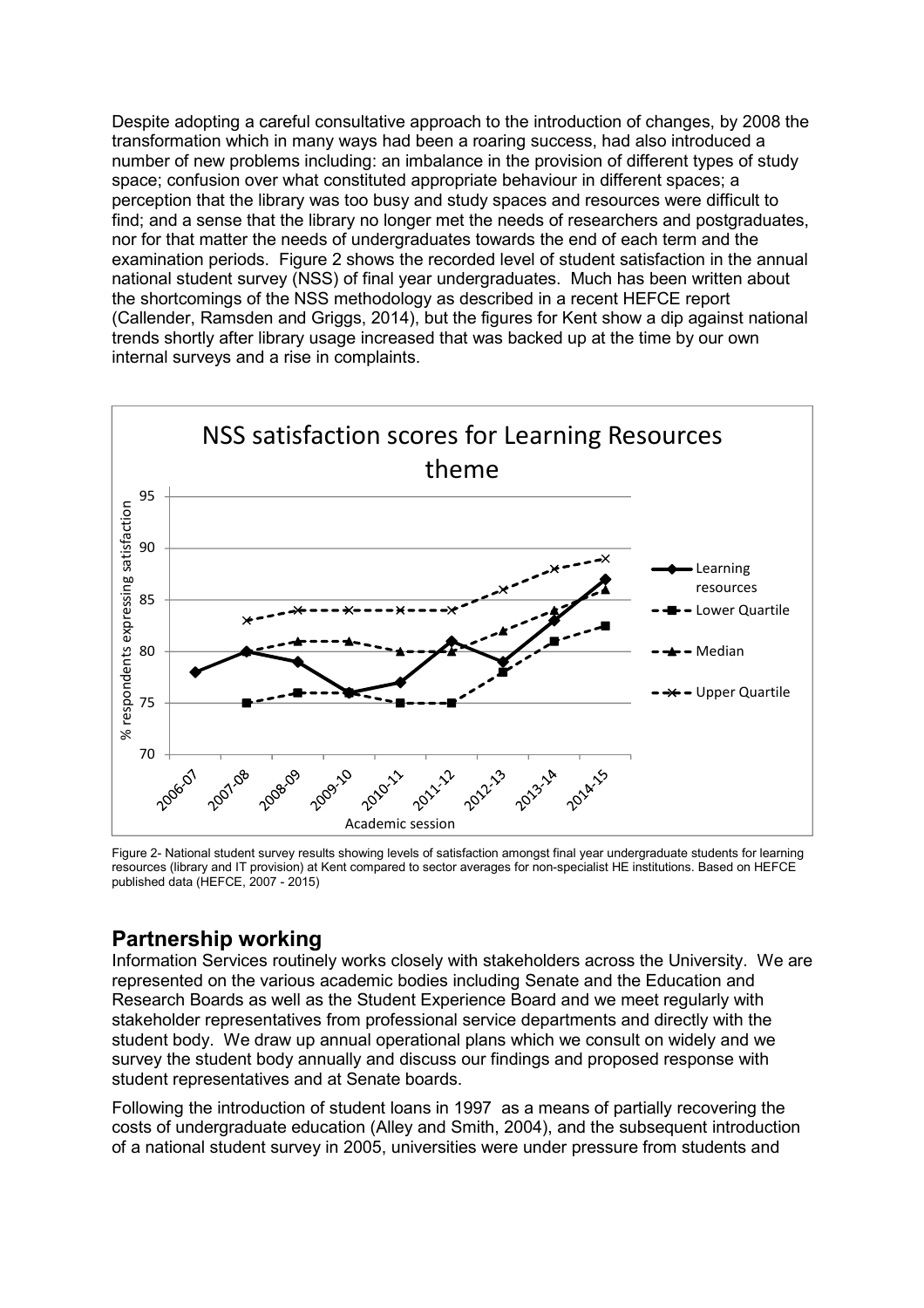Despite adopting a careful consultative approach to the introduction of changes, by 2008 the transformation which in many ways had been a roaring success, had also introduced a number of new problems including: an imbalance in the provision of different types of study space; confusion over what constituted appropriate behaviour in different spaces; a perception that the library was too busy and study spaces and resources were difficult to find; and a sense that the library no longer met the needs of researchers and postgraduates, nor for that matter the needs of undergraduates towards the end of each term and the examination periods. Figure 2 shows the recorded level of student satisfaction in the annual national student survey (NSS) of final year undergraduates. Much has been written about the shortcomings of the NSS methodology as described in a recent HEFCE report (Callender, Ramsden and Griggs, 2014), but the figures for Kent show a dip against national trends shortly after library usage increased that was backed up at the time by our own internal surveys and a rise in complaints.



Figure 2- National student survey results showing levels of satisfaction amongst final year undergraduate students for learning resources (library and IT provision) at Kent compared to sector averages for non-specialist HE institutions. Based on HEFCE published data (HEFCE, 2007 - 2015)

## **Partnership working**

Information Services routinely works closely with stakeholders across the University. We are represented on the various academic bodies including Senate and the Education and Research Boards as well as the Student Experience Board and we meet regularly with stakeholder representatives from professional service departments and directly with the student body. We draw up annual operational plans which we consult on widely and we survey the student body annually and discuss our findings and proposed response with student representatives and at Senate boards.

Following the introduction of student loans in 1997 as a means of partially recovering the costs of undergraduate education (Alley and Smith, 2004), and the subsequent introduction of a national student survey in 2005, universities were under pressure from students and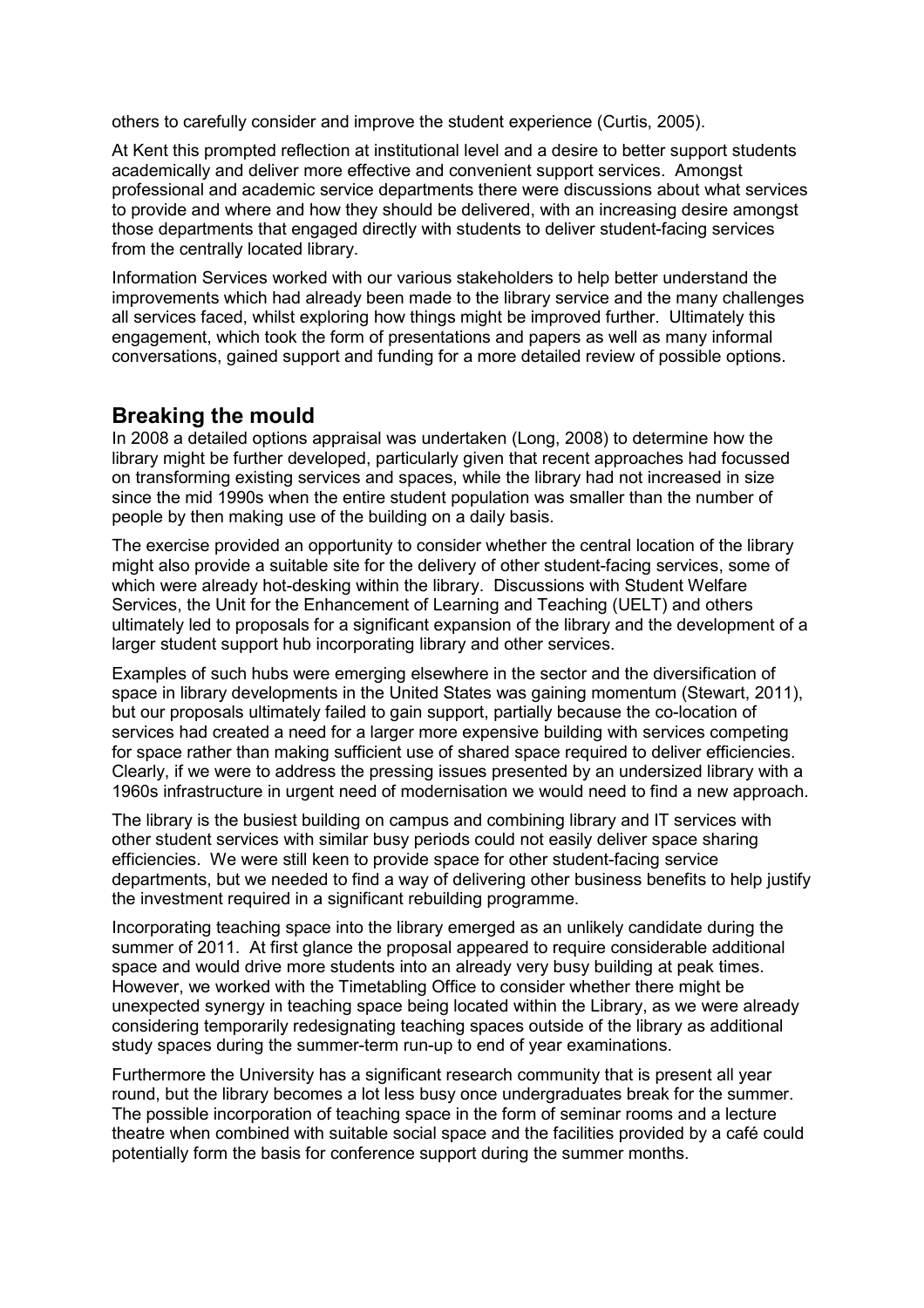others to carefully consider and improve the student experience (Curtis, 2005).

At Kent this prompted reflection at institutional level and a desire to better support students academically and deliver more effective and convenient support services. Amongst professional and academic service departments there were discussions about what services to provide and where and how they should be delivered, with an increasing desire amongst those departments that engaged directly with students to deliver student-facing services from the centrally located library.

Information Services worked with our various stakeholders to help better understand the improvements which had already been made to the library service and the many challenges all services faced, whilst exploring how things might be improved further. Ultimately this engagement, which took the form of presentations and papers as well as many informal conversations, gained support and funding for a more detailed review of possible options.

#### **Breaking the mould**

In 2008 a detailed options appraisal was undertaken (Long, 2008) to determine how the library might be further developed, particularly given that recent approaches had focussed on transforming existing services and spaces, while the library had not increased in size since the mid 1990s when the entire student population was smaller than the number of people by then making use of the building on a daily basis.

The exercise provided an opportunity to consider whether the central location of the library might also provide a suitable site for the delivery of other student-facing services, some of which were already hot-desking within the library. Discussions with Student Welfare Services, the Unit for the Enhancement of Learning and Teaching (UELT) and others ultimately led to proposals for a significant expansion of the library and the development of a larger student support hub incorporating library and other services.

Examples of such hubs were emerging elsewhere in the sector and the diversification of space in library developments in the United States was gaining momentum (Stewart, 2011), but our proposals ultimately failed to gain support, partially because the co-location of services had created a need for a larger more expensive building with services competing for space rather than making sufficient use of shared space required to deliver efficiencies. Clearly, if we were to address the pressing issues presented by an undersized library with a 1960s infrastructure in urgent need of modernisation we would need to find a new approach.

The library is the busiest building on campus and combining library and IT services with other student services with similar busy periods could not easily deliver space sharing efficiencies. We were still keen to provide space for other student-facing service departments, but we needed to find a way of delivering other business benefits to help justify the investment required in a significant rebuilding programme.

Incorporating teaching space into the library emerged as an unlikely candidate during the summer of 2011. At first glance the proposal appeared to require considerable additional space and would drive more students into an already very busy building at peak times. However, we worked with the Timetabling Office to consider whether there might be unexpected synergy in teaching space being located within the Library, as we were already considering temporarily redesignating teaching spaces outside of the library as additional study spaces during the summer-term run-up to end of year examinations.

Furthermore the University has a significant research community that is present all year round, but the library becomes a lot less busy once undergraduates break for the summer. The possible incorporation of teaching space in the form of seminar rooms and a lecture theatre when combined with suitable social space and the facilities provided by a café could potentially form the basis for conference support during the summer months.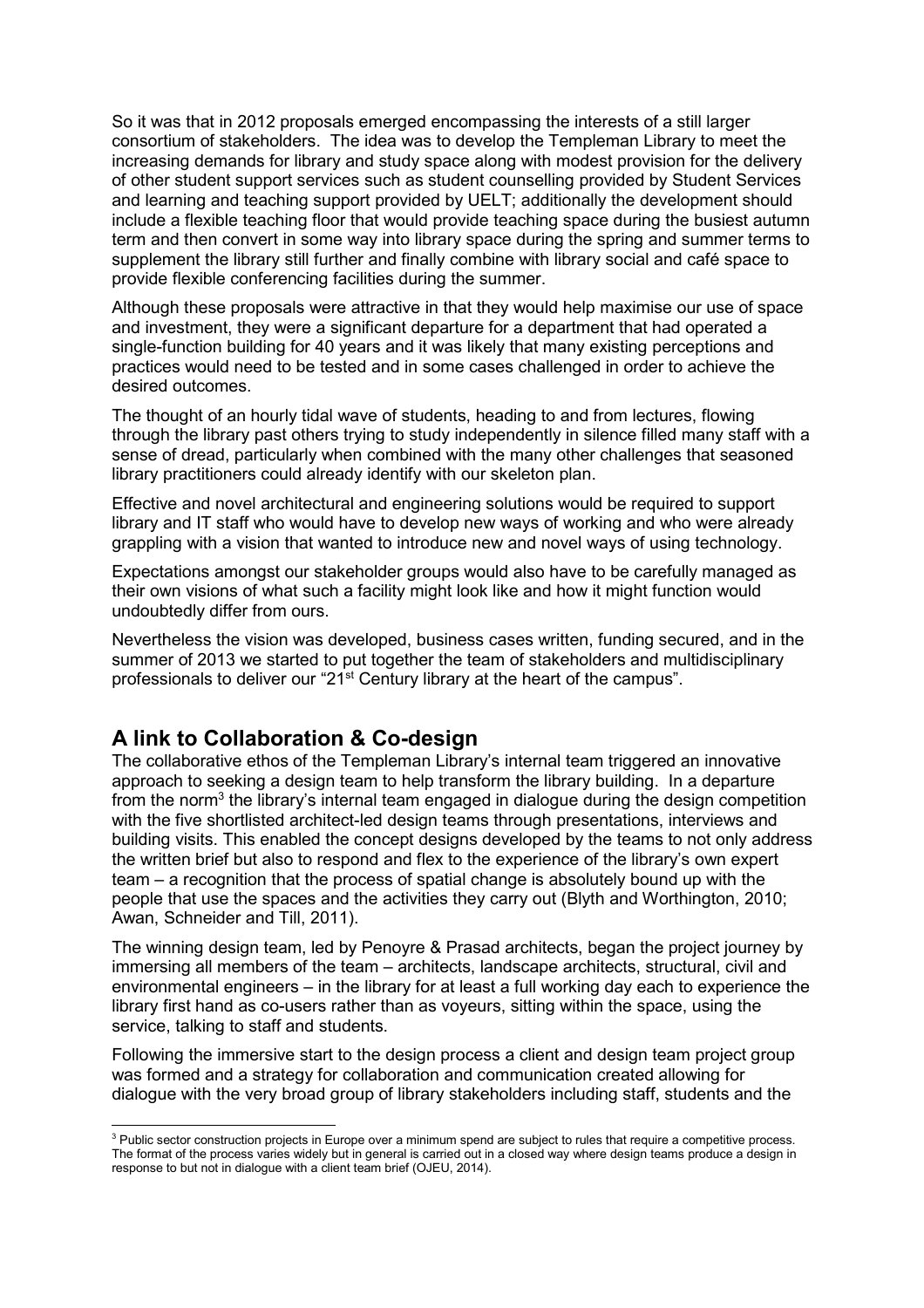So it was that in 2012 proposals emerged encompassing the interests of a still larger consortium of stakeholders. The idea was to develop the Templeman Library to meet the increasing demands for library and study space along with modest provision for the delivery of other student support services such as student counselling provided by Student Services and learning and teaching support provided by UELT; additionally the development should include a flexible teaching floor that would provide teaching space during the busiest autumn term and then convert in some way into library space during the spring and summer terms to supplement the library still further and finally combine with library social and café space to provide flexible conferencing facilities during the summer.

Although these proposals were attractive in that they would help maximise our use of space and investment, they were a significant departure for a department that had operated a single-function building for 40 years and it was likely that many existing perceptions and practices would need to be tested and in some cases challenged in order to achieve the desired outcomes.

The thought of an hourly tidal wave of students, heading to and from lectures, flowing through the library past others trying to study independently in silence filled many staff with a sense of dread, particularly when combined with the many other challenges that seasoned library practitioners could already identify with our skeleton plan.

Effective and novel architectural and engineering solutions would be required to support library and IT staff who would have to develop new ways of working and who were already grappling with a vision that wanted to introduce new and novel ways of using technology.

Expectations amongst our stakeholder groups would also have to be carefully managed as their own visions of what such a facility might look like and how it might function would undoubtedly differ from ours.

Nevertheless the vision was developed, business cases written, funding secured, and in the summer of 2013 we started to put together the team of stakeholders and multidisciplinary professionals to deliver our "21<sup>st</sup> Century library at the heart of the campus".

## **A link to Collaboration & Co-design**

The collaborative ethos of the Templeman Library's internal team triggered an innovative approach to seeking a design team to help transform the library building. In a departure from the norm<sup>3</sup> the library's internal team engaged in dialogue during the design competition with the five shortlisted architect-led design teams through presentations, interviews and building visits. This enabled the concept designs developed by the teams to not only address the written brief but also to respond and flex to the experience of the library's own expert team – a recognition that the process of spatial change is absolutely bound up with the people that use the spaces and the activities they carry out (Blyth and Worthington, 2010; Awan, Schneider and Till, 2011).

The winning design team, led by Penoyre & Prasad architects, began the project journey by immersing all members of the team – architects, landscape architects, structural, civil and environmental engineers – in the library for at least a full working day each to experience the library first hand as co-users rather than as voyeurs, sitting within the space, using the service, talking to staff and students.

Following the immersive start to the design process a client and design team project group was formed and a strategy for collaboration and communication created allowing for dialogue with the very broad group of library stakeholders including staff, students and the

 3 Public sector construction projects in Europe over a minimum spend are subject to rules that require a competitive process. The format of the process varies widely but in general is carried out in a closed way where design teams produce a design in response to but not in dialogue with a client team brief (OJEU, 2014).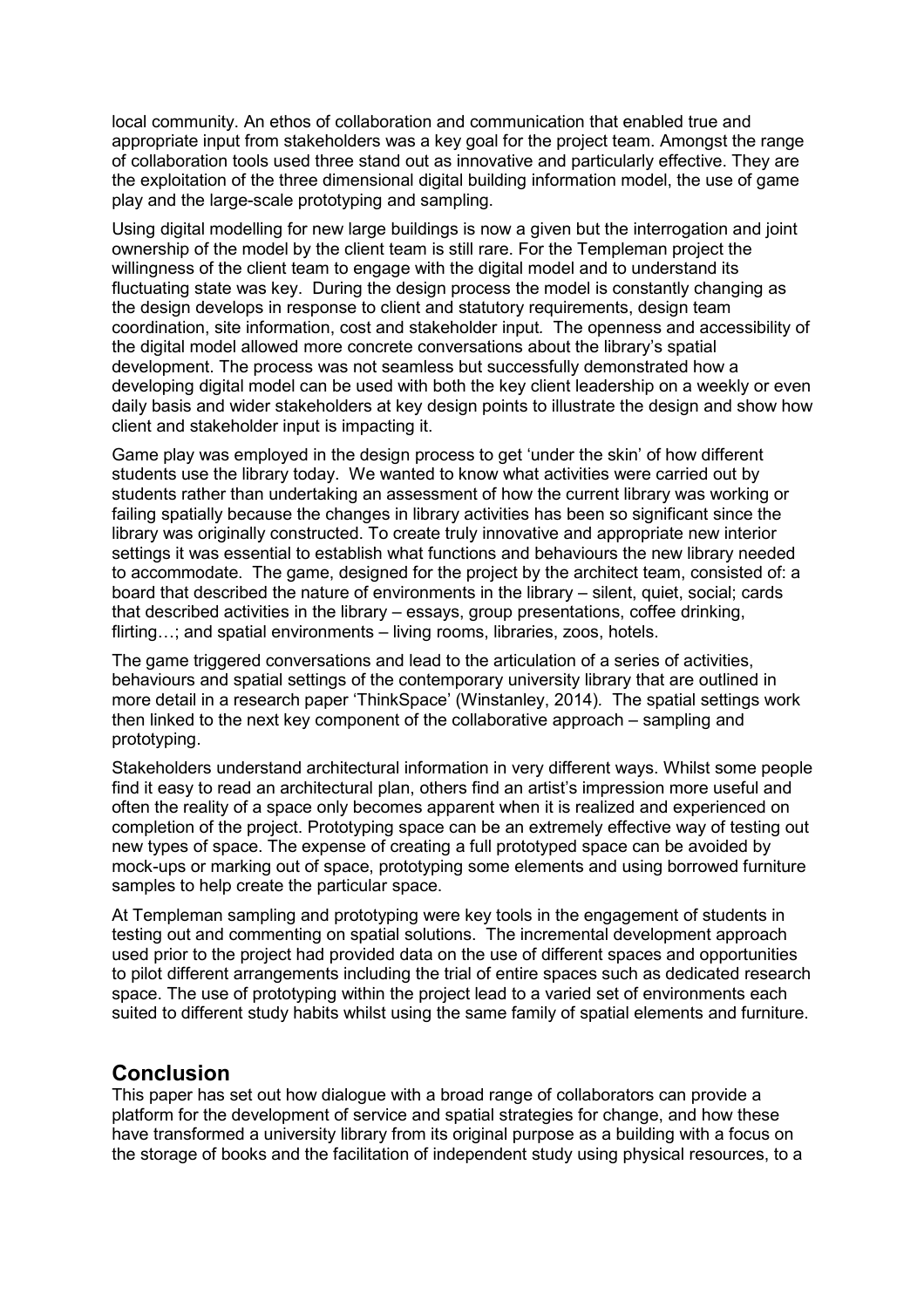local community. An ethos of collaboration and communication that enabled true and appropriate input from stakeholders was a key goal for the project team. Amongst the range of collaboration tools used three stand out as innovative and particularly effective. They are the exploitation of the three dimensional digital building information model, the use of game play and the large-scale prototyping and sampling.

Using digital modelling for new large buildings is now a given but the interrogation and joint ownership of the model by the client team is still rare. For the Templeman project the willingness of the client team to engage with the digital model and to understand its fluctuating state was key. During the design process the model is constantly changing as the design develops in response to client and statutory requirements, design team coordination, site information, cost and stakeholder input*.* The openness and accessibility of the digital model allowed more concrete conversations about the library's spatial development. The process was not seamless but successfully demonstrated how a developing digital model can be used with both the key client leadership on a weekly or even daily basis and wider stakeholders at key design points to illustrate the design and show how client and stakeholder input is impacting it.

Game play was employed in the design process to get 'under the skin' of how different students use the library today. We wanted to know what activities were carried out by students rather than undertaking an assessment of how the current library was working or failing spatially because the changes in library activities has been so significant since the library was originally constructed. To create truly innovative and appropriate new interior settings it was essential to establish what functions and behaviours the new library needed to accommodate. The game, designed for the project by the architect team, consisted of: a board that described the nature of environments in the library – silent, quiet, social; cards that described activities in the library – essays, group presentations, coffee drinking, flirting...; and spatial environments – living rooms, libraries, zoos, hotels.

The game triggered conversations and lead to the articulation of a series of activities, behaviours and spatial settings of the contemporary university library that are outlined in more detail in a research paper 'ThinkSpace' (Winstanley, 2014)*.* The spatial settings work then linked to the next key component of the collaborative approach – sampling and prototyping.

Stakeholders understand architectural information in very different ways. Whilst some people find it easy to read an architectural plan, others find an artist's impression more useful and often the reality of a space only becomes apparent when it is realized and experienced on completion of the project. Prototyping space can be an extremely effective way of testing out new types of space. The expense of creating a full prototyped space can be avoided by mock-ups or marking out of space, prototyping some elements and using borrowed furniture samples to help create the particular space.

At Templeman sampling and prototyping were key tools in the engagement of students in testing out and commenting on spatial solutions. The incremental development approach used prior to the project had provided data on the use of different spaces and opportunities to pilot different arrangements including the trial of entire spaces such as dedicated research space. The use of prototyping within the project lead to a varied set of environments each suited to different study habits whilst using the same family of spatial elements and furniture.

## **Conclusion**

This paper has set out how dialogue with a broad range of collaborators can provide a platform for the development of service and spatial strategies for change, and how these have transformed a university library from its original purpose as a building with a focus on the storage of books and the facilitation of independent study using physical resources, to a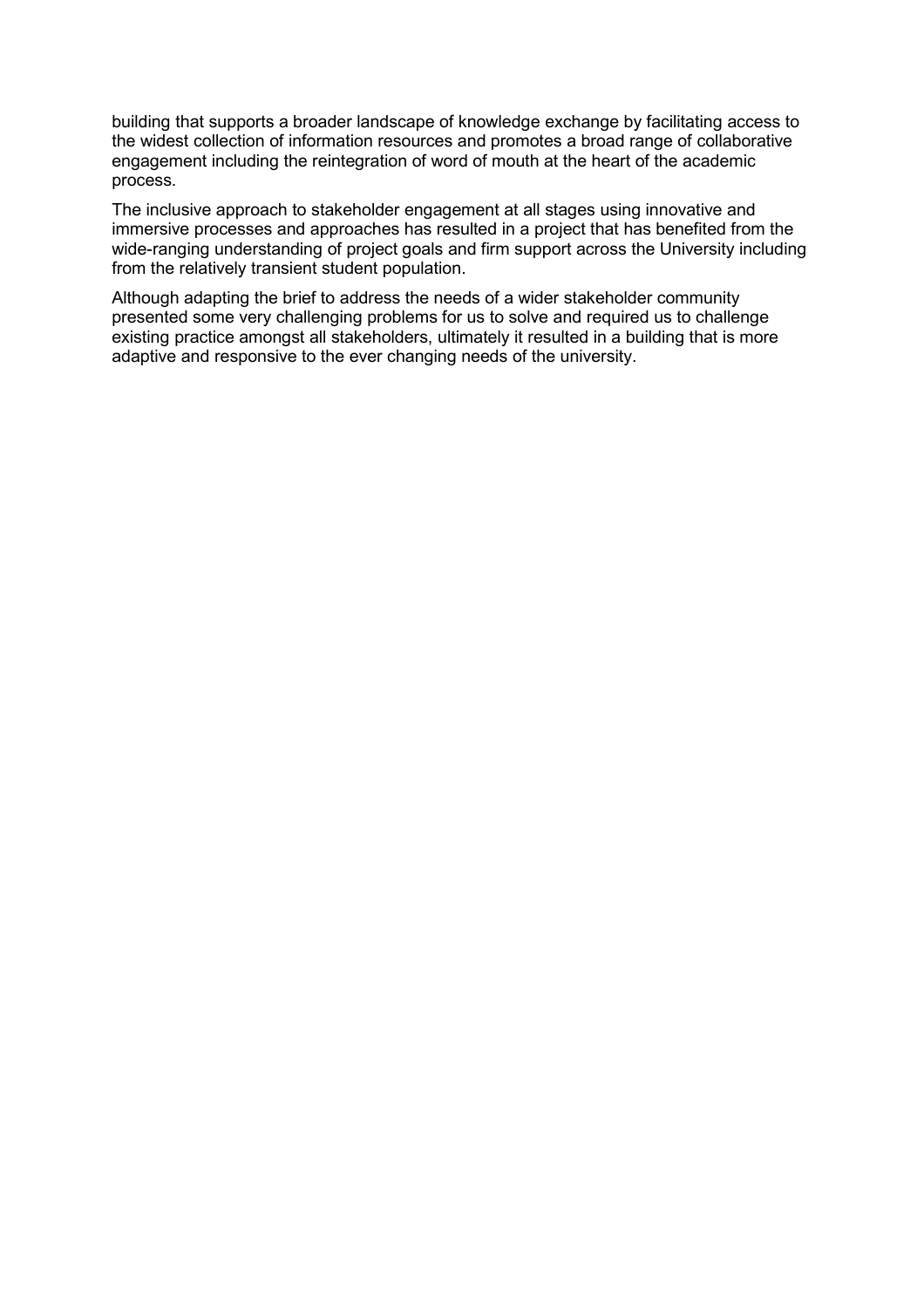building that supports a broader landscape of knowledge exchange by facilitating access to the widest collection of information resources and promotes a broad range of collaborative engagement including the reintegration of word of mouth at the heart of the academic process.

The inclusive approach to stakeholder engagement at all stages using innovative and immersive processes and approaches has resulted in a project that has benefited from the wide-ranging understanding of project goals and firm support across the University including from the relatively transient student population.

Although adapting the brief to address the needs of a wider stakeholder community presented some very challenging problems for us to solve and required us to challenge existing practice amongst all stakeholders, ultimately it resulted in a building that is more adaptive and responsive to the ever changing needs of the university.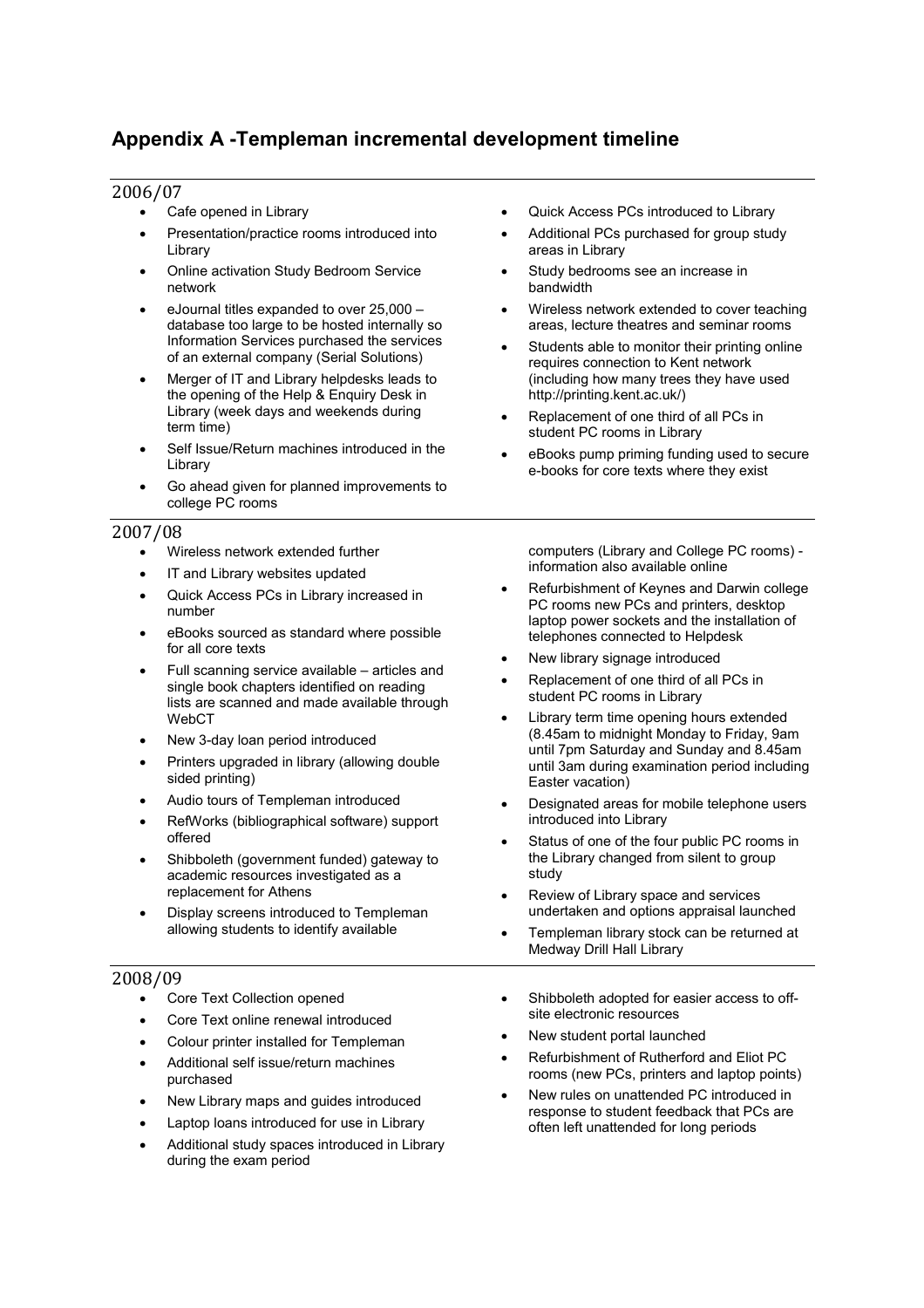# **Appendix A -Templeman incremental development timeline**

#### 2006/07

Cafe opened in Library

- Presentation/practice rooms introduced into Library
- Online activation Study Bedroom Service network
- eJournal titles expanded to over 25,000 database too large to be hosted internally so Information Services purchased the services of an external company (Serial Solutions)
- Merger of IT and Library helpdesks leads to the opening of the Help & Enquiry Desk in Library (week days and weekends during term time)
- Self Issue/Return machines introduced in the Library
- Go ahead given for planned improvements to college PC rooms

#### 2007/08

- Wireless network extended further
- IT and Library websites updated
- Quick Access PCs in Library increased in number
- eBooks sourced as standard where possible for all core texts
- Full scanning service available articles and single book chapters identified on reading lists are scanned and made available through WebCT
- New 3-day loan period introduced
- Printers upgraded in library (allowing double sided printing)
- Audio tours of Templeman introduced
- RefWorks (bibliographical software) support offered
- Shibboleth (government funded) gateway to academic resources investigated as a replacement for Athens
- Display screens introduced to Templeman allowing students to identify available

#### 2008/09

- Core Text Collection opened
- Core Text online renewal introduced
- Colour printer installed for Templeman
- Additional self issue/return machines purchased
- New Library maps and guides introduced
- Laptop loans introduced for use in Library
- Additional study spaces introduced in Library during the exam period
- Quick Access PCs introduced to Library
- Additional PCs purchased for group study areas in Library
- Study bedrooms see an increase in bandwidth
- Wireless network extended to cover teaching areas, lecture theatres and seminar rooms
- Students able to monitor their printing online requires connection to Kent network (including how many trees they have used http://printing.kent.ac.uk/)
- Replacement of one third of all PCs in student PC rooms in Library
- eBooks pump priming funding used to secure e-books for core texts where they exist

computers (Library and College PC rooms) information also available online

- Refurbishment of Keynes and Darwin college PC rooms new PCs and printers, desktop laptop power sockets and the installation of telephones connected to Helpdesk
- New library signage introduced
- Replacement of one third of all PCs in student PC rooms in Library
- Library term time opening hours extended (8.45am to midnight Monday to Friday, 9am until 7pm Saturday and Sunday and 8.45am until 3am during examination period including Easter vacation)
- Designated areas for mobile telephone users introduced into Library
- Status of one of the four public PC rooms in the Library changed from silent to group study
- Review of Library space and services undertaken and options appraisal launched
- Templeman library stock can be returned at Medway Drill Hall Library
- Shibboleth adopted for easier access to offsite electronic resources
- New student portal launched
- Refurbishment of Rutherford and Eliot PC rooms (new PCs, printers and laptop points)
- New rules on unattended PC introduced in response to student feedback that PCs are often left unattended for long periods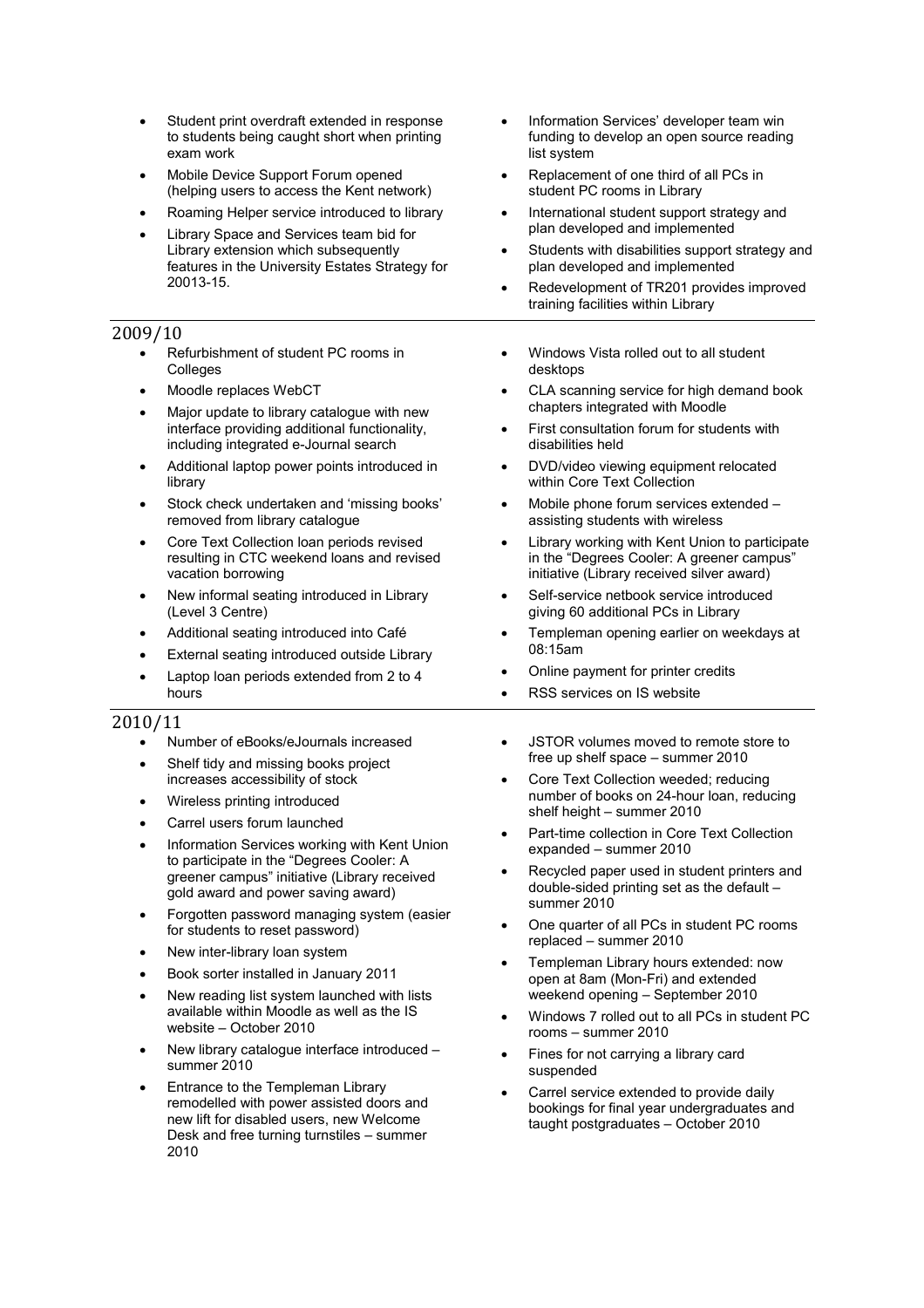- Student print overdraft extended in response to students being caught short when printing exam work
- Mobile Device Support Forum opened (helping users to access the Kent network)
- Roaming Helper service introduced to library
- Library Space and Services team bid for Library extension which subsequently features in the University Estates Strategy for 20013-15.

#### 2009/10

- Refurbishment of student PC rooms in Colleges
- Moodle replaces WebCT
- Major update to library catalogue with new interface providing additional functionality, including integrated e-Journal search
- Additional laptop power points introduced in library
- Stock check undertaken and 'missing books' removed from library catalogue
- Core Text Collection loan periods revised resulting in CTC weekend loans and revised vacation borrowing
- New informal seating introduced in Library (Level 3 Centre)
- Additional seating introduced into Café
- External seating introduced outside Library
- Laptop loan periods extended from 2 to 4 hours

#### 2010/11

- Number of eBooks/eJournals increased
- Shelf tidy and missing books project increases accessibility of stock
- Wireless printing introduced
- Carrel users forum launched
- Information Services working with Kent Union to participate in the "Degrees Cooler: A greener campus" initiative (Library received gold award and power saving award)
- Forgotten password managing system (easier for students to reset password)
- New inter-library loan system
- Book sorter installed in January 2011
- New reading list system launched with lists available within Moodle as well as the IS website – October 2010
- New library catalogue interface introduced summer 2010
- Entrance to the Templeman Library remodelled with power assisted doors and new lift for disabled users, new Welcome Desk and free turning turnstiles – summer 2010
- Information Services' developer team win funding to develop an open source reading list system
- Replacement of one third of all PCs in student PC rooms in Library
- International student support strategy and plan developed and implemented
- Students with disabilities support strategy and plan developed and implemented
- Redevelopment of TR201 provides improved training facilities within Library
- Windows Vista rolled out to all student desktops
- CLA scanning service for high demand book chapters integrated with Moodle
- First consultation forum for students with disabilities held
- DVD/video viewing equipment relocated within Core Text Collection
- Mobile phone forum services extended assisting students with wireless
- Library working with Kent Union to participate in the "Degrees Cooler: A greener campus" initiative (Library received silver award)
- Self-service netbook service introduced giving 60 additional PCs in Library
- Templeman opening earlier on weekdays at 08:15am
- Online payment for printer credits
- RSS services on IS website
- JSTOR volumes moved to remote store to free up shelf space – summer 2010
- Core Text Collection weeded; reducing number of books on 24-hour loan, reducing shelf height – summer 2010
- Part-time collection in Core Text Collection expanded – summer 2010
- Recycled paper used in student printers and double-sided printing set as the default – summer 2010
- One quarter of all PCs in student PC rooms replaced – summer 2010
- Templeman Library hours extended: now open at 8am (Mon-Fri) and extended weekend opening – September 2010
- Windows 7 rolled out to all PCs in student PC rooms – summer 2010
- Fines for not carrying a library card suspended
- Carrel service extended to provide daily bookings for final year undergraduates and taught postgraduates – October 2010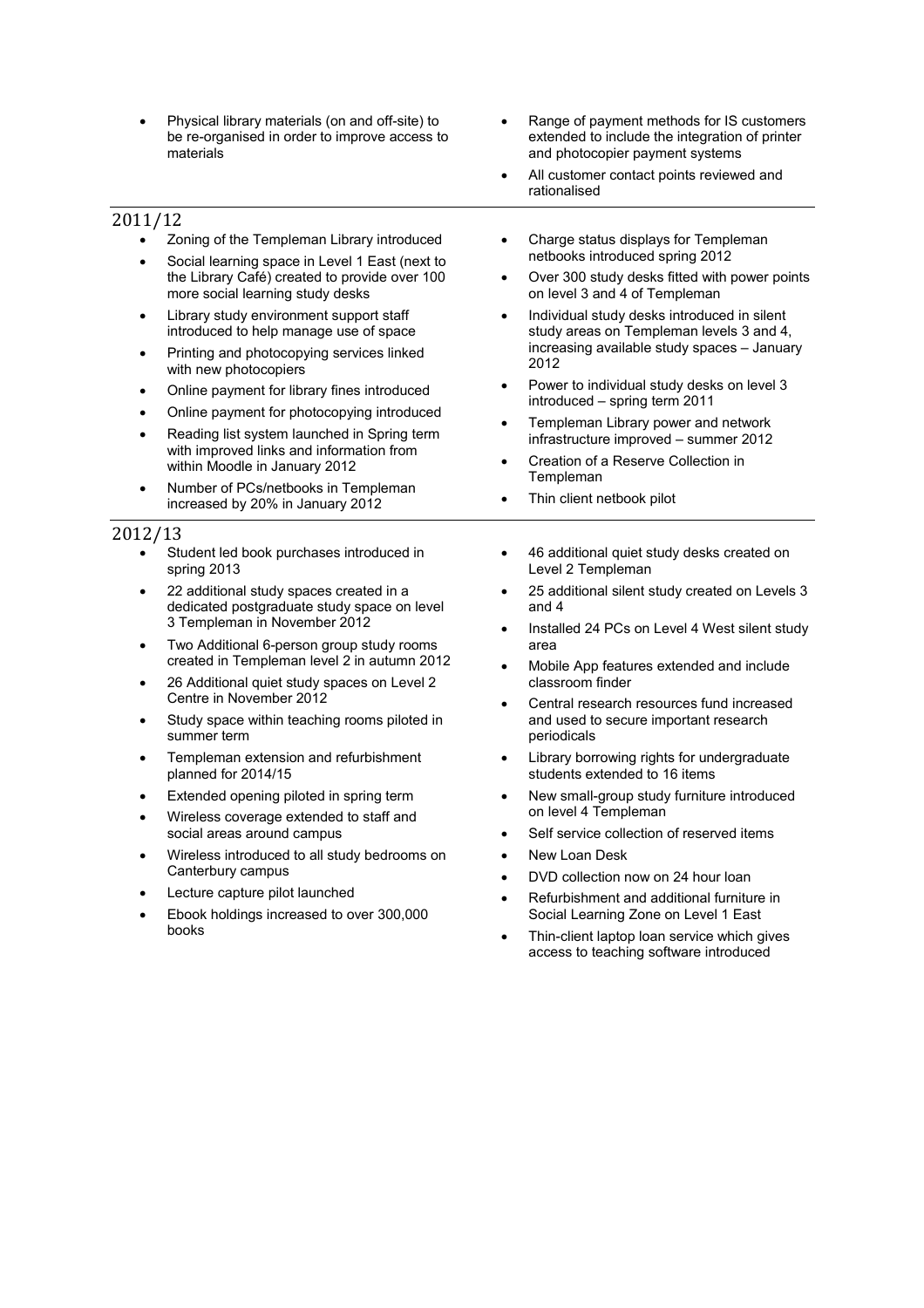- Physical library materials (on and off-site) to be re-organised in order to improve access to materials
- 2011/12
	- Zoning of the Templeman Library introduced
	- Social learning space in Level 1 East (next to the Library Café) created to provide over 100 more social learning study desks
	- Library study environment support staff introduced to help manage use of space
	- Printing and photocopying services linked with new photocopiers
	- Online payment for library fines introduced
	- Online payment for photocopying introduced
	- Reading list system launched in Spring term with improved links and information from within Moodle in January 2012
	- Number of PCs/netbooks in Templeman increased by 20% in January 2012

#### 2012/13

- Student led book purchases introduced in spring 2013
- 22 additional study spaces created in a dedicated postgraduate study space on level 3 Templeman in November 2012
- Two Additional 6-person group study rooms created in Templeman level 2 in autumn 2012
- 26 Additional quiet study spaces on Level 2 Centre in November 2012
- Study space within teaching rooms piloted in summer term
- Templeman extension and refurbishment planned for 2014/15
- Extended opening piloted in spring term
- Wireless coverage extended to staff and social areas around campus
- Wireless introduced to all study bedrooms on Canterbury campus
- Lecture capture pilot launched
- Ebook holdings increased to over 300,000 books
- Range of payment methods for IS customers extended to include the integration of printer and photocopier payment systems
- All customer contact points reviewed and rationalised
- Charge status displays for Templeman netbooks introduced spring 2012
- Over 300 study desks fitted with power points on level 3 and 4 of Templeman
- Individual study desks introduced in silent study areas on Templeman levels 3 and 4, increasing available study spaces – January 2012
- Power to individual study desks on level 3 introduced – spring term 2011
- Templeman Library power and network infrastructure improved – summer 2012
- Creation of a Reserve Collection in **Templeman**
- Thin client netbook pilot
- 46 additional quiet study desks created on Level 2 Templeman
- 25 additional silent study created on Levels 3 and 4
- Installed 24 PCs on Level 4 West silent study area
- Mobile App features extended and include classroom finder
- Central research resources fund increased and used to secure important research periodicals
- Library borrowing rights for undergraduate students extended to 16 items
- New small-group study furniture introduced on level 4 Templeman
- Self service collection of reserved items
- New Loan Desk
- DVD collection now on 24 hour loan
- Refurbishment and additional furniture in Social Learning Zone on Level 1 East
- Thin-client laptop loan service which gives access to teaching software introduced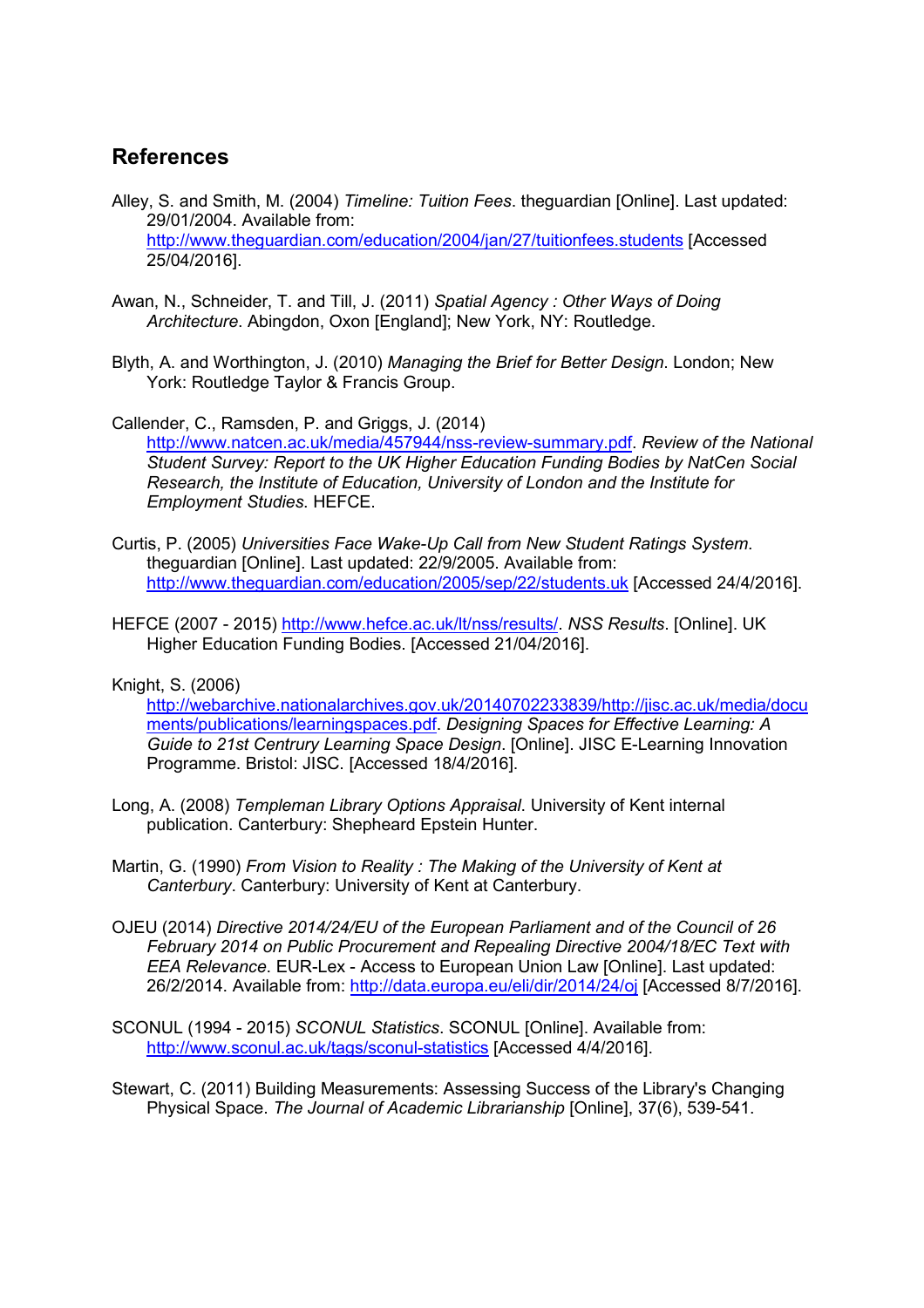## **References**

Alley, S. and Smith, M. (2004) *Timeline: Tuition Fees*. theguardian [Online]. Last updated: 29/01/2004. Available from: http://www.theguardian.com/education/2004/jan/27/tuitionfees.students [Accessed 25/04/2016].

- Awan, N., Schneider, T. and Till, J. (2011) *Spatial Agency : Other Ways of Doing Architecture*. Abingdon, Oxon [England]; New York, NY: Routledge.
- Blyth, A. and Worthington, J. (2010) *Managing the Brief for Better Design*. London; New York: Routledge Taylor & Francis Group.

Callender, C., Ramsden, P. and Griggs, J. (2014) http://www.natcen.ac.uk/media/457944/nss-review-summary.pdf. *Review of the National Student Survey: Report to the UK Higher Education Funding Bodies by NatCen Social Research, the Institute of Education, University of London and the Institute for Employment Studies*. HEFCE.

- Curtis, P. (2005) *Universities Face Wake-Up Call from New Student Ratings System*. theguardian [Online]. Last updated: 22/9/2005. Available from: http://www.theguardian.com/education/2005/sep/22/students.uk [Accessed 24/4/2016].
- HEFCE (2007 2015) http://www.hefce.ac.uk/lt/nss/results/. *NSS Results*. [Online]. UK Higher Education Funding Bodies. [Accessed 21/04/2016].

#### Knight, S. (2006)

http://webarchive.nationalarchives.gov.uk/20140702233839/http://jisc.ac.uk/media/docu ments/publications/learningspaces.pdf. *Designing Spaces for Effective Learning: A Guide to 21st Centrury Learning Space Design*. [Online]. JISC E-Learning Innovation Programme. Bristol: JISC. [Accessed 18/4/2016].

- Long, A. (2008) *Templeman Library Options Appraisal*. University of Kent internal publication. Canterbury: Shepheard Epstein Hunter.
- Martin, G. (1990) *From Vision to Reality : The Making of the University of Kent at Canterbury*. Canterbury: University of Kent at Canterbury.
- OJEU (2014) *Directive 2014/24/EU of the European Parliament and of the Council of 26 February 2014 on Public Procurement and Repealing Directive 2004/18/EC Text with EEA Relevance*. EUR-Lex - Access to European Union Law [Online]. Last updated: 26/2/2014. Available from: http://data.europa.eu/eli/dir/2014/24/oj [Accessed 8/7/2016].
- SCONUL (1994 2015) *SCONUL Statistics*. SCONUL [Online]. Available from: http://www.sconul.ac.uk/tags/sconul-statistics [Accessed 4/4/2016].

Stewart, C. (2011) Building Measurements: Assessing Success of the Library's Changing Physical Space. *The Journal of Academic Librarianship* [Online], 37(6), 539-541.